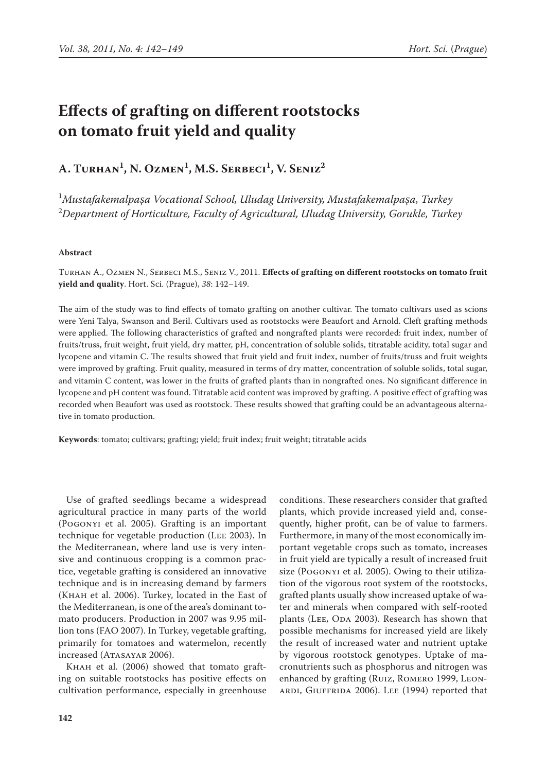# **Effects of grafting on different rootstocks on tomato fruit yield and quality**

**A. Turhan1 , N. Ozmen1 , M.S. Serbeci1 , V. Seniz2**

1 *MustafakemalpaŞa Vocational School, Uludag University, MustafakemalpaŞa, Turkey* 2 *Department of Horticulture, Faculty of Agricultural, Uludag University, Gorukle, Turkey*

## **Abstract**

Turhan A., Ozmen N., Serbeci M.S., Seniz V., 2011. **Effects of grafting on different rootstocks on tomato fruit yield and quality**. Hort. Sci. (Prague), *38*: 142–149.

The aim of the study was to find effects of tomato grafting on another cultivar. The tomato cultivars used as scions were Yeni Talya, Swanson and Beril. Cultivars used as rootstocks were Beaufort and Arnold. Cleft grafting methods were applied. The following characteristics of grafted and nongrafted plants were recorded: fruit index, number of fruits/truss, fruit weight, fruit yield, dry matter, pH, concentration of soluble solids, titratable acidity, total sugar and lycopene and vitamin C. The results showed that fruit yield and fruit index, number of fruits/truss and fruit weights were improved by grafting. Fruit quality, measured in terms of dry matter, concentration of soluble solids, total sugar, and vitamin C content, was lower in the fruits of grafted plants than in nongrafted ones. No significant difference in lycopene and pH content was found. Titratable acid content was improved by grafting. A positive effect of grafting was recorded when Beaufort was used as rootstock. These results showed that grafting could be an advantageous alternative in tomato production.

**Keywords**: tomato; cultivars; grafting; yield; fruit index; fruit weight; titratable acids

Use of grafted seedlings became a widespread agricultural practice in many parts of the world (Pogonyi et al. 2005). Grafting is an important technique for vegetable production (Lee 2003). In the Mediterranean, where land use is very intensive and continuous cropping is a common practice, vegetable grafting is considered an innovative technique and is in increasing demand by farmers (Khah et al. 2006). Turkey, located in the East of the Mediterranean, is one of the area's dominant tomato producers. Production in 2007 was 9.95 million tons (FAO 2007). In Turkey, vegetable grafting, primarily for tomatoes and watermelon, recently increased (ATASAYAR 2006).

KHAH et al. (2006) showed that tomato grafting on suitable rootstocks has positive effects on cultivation performance, especially in greenhouse conditions. These researchers consider that grafted plants, which provide increased yield and, consequently, higher profit, can be of value to farmers. Furthermore, in many of the most economically important vegetable crops such as tomato, increases in fruit yield are typically a result of increased fruit size (Pogonyi et al. 2005). Owing to their utilization of the vigorous root system of the rootstocks, grafted plants usually show increased uptake of water and minerals when compared with self-rooted plants (LEE, ODA 2003). Research has shown that possible mechanisms for increased yield are likely the result of increased water and nutrient uptake by vigorous rootstock genotypes. Uptake of macronutrients such as phosphorus and nitrogen was enhanced by grafting (Ruiz, Romero 1999, Leonardi, Giuffrida 2006). Lee (1994) reported that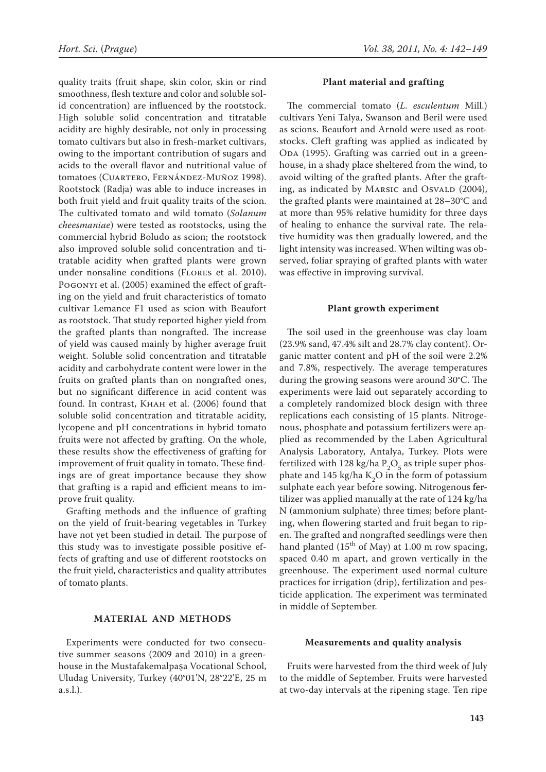quality traits (fruit shape, skin color, skin or rind smoothness, flesh texture and color and soluble solid concentration) are influenced by the rootstock. High soluble solid concentration and titratable acidity are highly desirable, not only in processing tomato cultivars but also in fresh-market cultivars, owing to the important contribution of sugars and acids to the overall flavor and nutritional value of tomatoes (CUARTERO, FERNÁNDEZ-MUÑOZ 1998). Rootstock (Radja) was able to induce increases in both fruit yield and fruit quality traits of the scion. The cultivated tomato and wild tomato (*Solanum cheesmaniae*) were tested as rootstocks, using the commercial hybrid Boludo as scion; the rootstock also improved soluble solid concentration and titratable acidity when grafted plants were grown under nonsaline conditions (Flores et al. 2010). Pogonyi et al. (2005) examined the effect of grafting on the yield and fruit characteristics of tomato cultivar Lemance F1 used as scion with Beaufort as rootstock. That study reported higher yield from the grafted plants than nongrafted. The increase of yield was caused mainly by higher average fruit weight. Soluble solid concentration and titratable acidity and carbohydrate content were lower in the fruits on grafted plants than on nongrafted ones, but no significant difference in acid content was found. In contrast, Khah et al. (2006) found that soluble solid concentration and titratable acidity, lycopene and pH concentrations in hybrid tomato fruits were not affected by grafting. On the whole, these results show the effectiveness of grafting for improvement of fruit quality in tomato. These findings are of great importance because they show that grafting is a rapid and efficient means to improve fruit quality.

Grafting methods and the influence of grafting on the yield of fruit-bearing vegetables in Turkey have not yet been studied in detail. The purpose of this study was to investigate possible positive effects of grafting and use of different rootstocks on the fruit yield, characteristics and quality attributes of tomato plants.

## **Material and Methods**

Experiments were conducted for two consecutive summer seasons (2009 and 2010) in a greenhouse in the Mustafakemalpaşa Vocational School, Uludag University, Turkey (40°01'N, 28°22'E, 25 m a.s.l.).

### **Plant material and grafting**

The commercial tomato (*L. esculentum* Mill.) cultivars Yeni Talya, Swanson and Beril were used as scions. Beaufort and Arnold were used as rootstocks. Cleft grafting was applied as indicated by ODA (1995). Grafting was carried out in a greenhouse, in a shady place sheltered from the wind, to avoid wilting of the grafted plants. After the grafting, as indicated by MARSIC and OSVALD (2004), the grafted plants were maintained at 28–30°C and at more than 95% relative humidity for three days of healing to enhance the survival rate. The relative humidity was then gradually lowered, and the light intensity was increased. When wilting was observed, foliar spraying of grafted plants with water was effective in improving survival.

#### **Plant growth experiment**

The soil used in the greenhouse was clay loam (23.9% sand, 47.4% silt and 28.7% clay content). Organic matter content and pH of the soil were 2.2% and 7.8%, respectively. The average temperatures during the growing seasons were around 30°C. The experiments were laid out separately according to a completely randomized block design with three replications each consisting of 15 plants. Nitrogenous, phosphate and potassium fertilizers were applied as recommended by the Laben Agricultural Analysis Laboratory, Antalya, Turkey. Plots were fertilized with 128 kg/ha  $P_2O_5$  as triple super phosphate and 145 kg/ha  $K_2O$  in the form of potassium sulphate each year before sowing. Nitrogenous fertilizer was applied manually at the rate of 124 kg/ha N (ammonium sulphate) three times; before planting, when flowering started and fruit began to ripen. The grafted and nongrafted seedlings were then hand planted ( $15<sup>th</sup>$  of May) at 1.00 m row spacing, spaced 0.40 m apart, and grown vertically in the greenhouse. The experiment used normal culture practices for irrigation (drip), fertilization and pesticide application. The experiment was terminated in middle of September.

#### **Measurements and quality analysis**

Fruits were harvested from the third week of July to the middle of September. Fruits were harvested at two-day intervals at the ripening stage. Ten ripe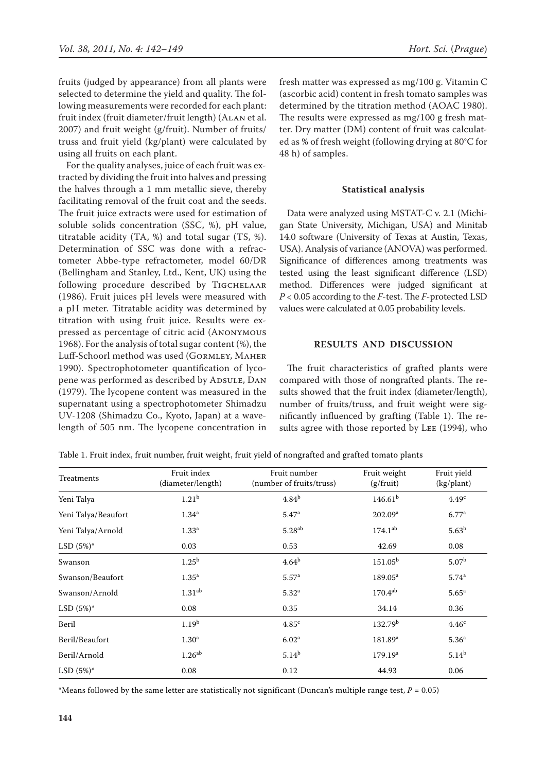fruits (judged by appearance) from all plants were selected to determine the yield and quality. The following measurements were recorded for each plant: fruit index (fruit diameter/fruit length) (Alan et al. 2007) and fruit weight (g/fruit). Number of fruits/ truss and fruit yield (kg/plant) were calculated by using all fruits on each plant.

For the quality analyses, juice of each fruit was extracted by dividing the fruit into halves and pressing the halves through a 1 mm metallic sieve, thereby facilitating removal of the fruit coat and the seeds. The fruit juice extracts were used for estimation of soluble solids concentration (SSC, %), pH value, titratable acidity (TA, %) and total sugar (TS, %). Determination of SSC was done with a refractometer Abbe-type refractometer, model 60/DR (Bellingham and Stanley, Ltd., Kent, UK) using the following procedure described by TIGCHELAAR (1986). Fruit juices pH levels were measured with a pH meter. Titratable acidity was determined by titration with using fruit juice. Results were expressed as percentage of citric acid (Anonymous 1968). For the analysis of total sugar content (%), the Luff-Schoorl method was used (Gormley, Maher 1990). Spectrophotometer quantification of lycopene was performed as described by ADSULE, DAN (1979). The lycopene content was measured in the supernatant using a spectrophotometer Shimadzu UV-1208 (Shimadzu Co., Kyoto, Japan) at a wavelength of 505 nm. The lycopene concentration in fresh matter was expressed as mg/100 g. Vitamin C (ascorbic acid) content in fresh tomato samples was determined by the titration method (AOAC 1980). The results were expressed as mg/100 g fresh matter. Dry matter (DM) content of fruit was calculated as % of fresh weight (following drying at 80°C for 48 h) of samples.

#### **Statistical analysis**

Data were analyzed using MSTAT-C v. 2.1 (Michigan State University, Michigan, USA) and Minitab 14.0 software (University of Texas at Austin, Texas, USA). Analysis of variance (ANOVA) was performed. Significance of differences among treatments was tested using the least significant difference (LSD) method. Differences were judged significant at *P* < 0.05 according to the *F*-test. The *F*-protected LSD values were calculated at 0.05 probability levels.

## **Results and Discussion**

The fruit characteristics of grafted plants were compared with those of nongrafted plants. The results showed that the fruit index (diameter/length), number of fruits/truss, and fruit weight were significantly influenced by grafting (Table 1). The results agree with those reported by Lee (1994), who

| Table 1. Fruit index, fruit number, fruit weight, fruit yield of nongrafted and grafted tomato plants |  |  |
|-------------------------------------------------------------------------------------------------------|--|--|
|-------------------------------------------------------------------------------------------------------|--|--|

| Treatments          | Fruit index<br>(diameter/length) | Fruit number<br>(number of fruits/truss) | Fruit weight<br>$(g/\text{fruit})$ | Fruit yield<br>(kg/plant) |
|---------------------|----------------------------------|------------------------------------------|------------------------------------|---------------------------|
| Yeni Talya          | 1.21 <sup>b</sup>                | 4.84 <sup>b</sup>                        | 146.61 <sup>b</sup>                |                           |
| Yeni Talya/Beaufort | $1.34^{\rm a}$                   | 5.47 <sup>a</sup>                        | 202.09 <sup>a</sup>                | 6.77 <sup>a</sup>         |
| Yeni Talya/Arnold   | $1.33^{\rm a}$                   | $5.28^{ab}$                              | $174.1^{ab}$                       | 5.63 <sup>b</sup>         |
| $LSD(5%)^*$         | 0.03                             | 0.53                                     | 42.69                              | 0.08                      |
| Swanson             | 1.25 <sup>b</sup>                | 4.64 <sup>b</sup>                        | $151.05^{\rm b}$                   | 5.07 <sup>b</sup>         |
| Swanson/Beaufort    | $1.35^{\rm a}$                   | 5.57 <sup>a</sup>                        | $189.05^{\rm a}$                   | 5.74 <sup>a</sup>         |
| Swanson/Arnold      | 1.31 <sup>ab</sup>               | $5.32^{a}$                               | $170.4^{ab}$                       | 5.65 <sup>a</sup>         |
| $LSD(5%)^*$         | 0.08                             | 0.35                                     | 34.14                              | 0.36                      |
| Beril               | 1.19 <sup>b</sup>                | 4.85 <sup>c</sup>                        | 132.79 <sup>b</sup>                | 4.46 <sup>c</sup>         |
| Beril/Beaufort      | 1.30 <sup>a</sup>                | 6.02 <sup>a</sup>                        | 181.89 <sup>a</sup>                | 5.36 <sup>a</sup>         |
| Beril/Arnold        | 1.26 <sup>ab</sup>               | $5.14^{b}$                               | 179.19 <sup>a</sup>                | $5.14^{b}$                |
| $LSD(5%)^*$         | 0.08                             | 0.12                                     | 44.93                              | 0.06                      |

\*Means followed by the same letter are statistically not significant (Duncan's multiple range test,  $P = 0.05$ )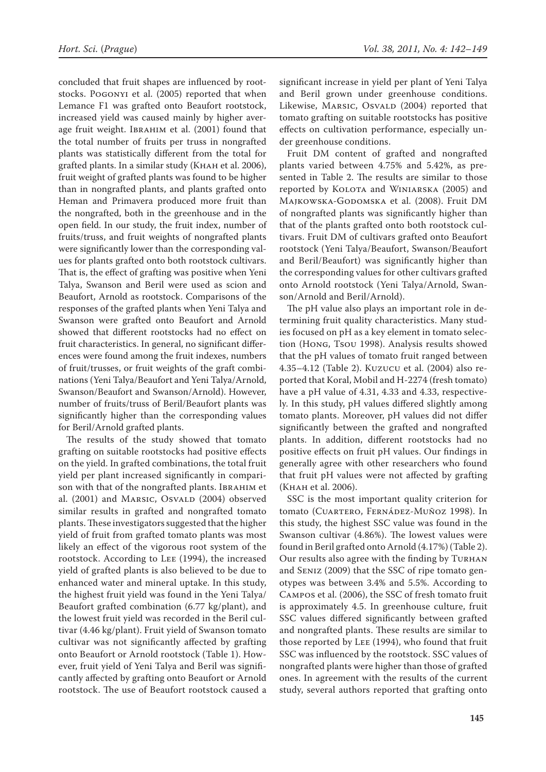concluded that fruit shapes are influenced by rootstocks. Pogonyi et al. (2005) reported that when Lemance F1 was grafted onto Beaufort rootstock, increased yield was caused mainly by higher average fruit weight. IBRAHIM et al. (2001) found that the total number of fruits per truss in nongrafted plants was statistically different from the total for grafted plants. In a similar study (Khah et al. 2006), fruit weight of grafted plants was found to be higher than in nongrafted plants, and plants grafted onto Heman and Primavera produced more fruit than the nongrafted, both in the greenhouse and in the open field. In our study, the fruit index, number of fruits/truss, and fruit weights of nongrafted plants were significantly lower than the corresponding values for plants grafted onto both rootstock cultivars. That is, the effect of grafting was positive when Yeni Talya, Swanson and Beril were used as scion and Beaufort, Arnold as rootstock. Comparisons of the responses of the grafted plants when Yeni Talya and Swanson were grafted onto Beaufort and Arnold showed that different rootstocks had no effect on fruit characteristics. In general, no significant differences were found among the fruit indexes, numbers of fruit/trusses, or fruit weights of the graft combinations (Yeni Talya/Beaufort and Yeni Talya/Arnold, Swanson/Beaufort and Swanson/Arnold). However, number of fruits/truss of Beril/Beaufort plants was significantly higher than the corresponding values for Beril/Arnold grafted plants.

The results of the study showed that tomato grafting on suitable rootstocks had positive effects on the yield. In grafted combinations, the total fruit yield per plant increased significantly in comparison with that of the nongrafted plants. IBRAHIM et al. (2001) and MARSIC, OSVALD (2004) observed similar results in grafted and nongrafted tomato plants. These investigators suggested that the higher yield of fruit from grafted tomato plants was most likely an effect of the vigorous root system of the rootstock. According to Lee (1994), the increased yield of grafted plants is also believed to be due to enhanced water and mineral uptake. In this study, the highest fruit yield was found in the Yeni Talya/ Beaufort grafted combination (6.77 kg/plant), and the lowest fruit yield was recorded in the Beril cultivar (4.46 kg/plant). Fruit yield of Swanson tomato cultivar was not significantly affected by grafting onto Beaufort or Arnold rootstock (Table 1). However, fruit yield of Yeni Talya and Beril was significantly affected by grafting onto Beaufort or Arnold rootstock. The use of Beaufort rootstock caused a significant increase in yield per plant of Yeni Talya and Beril grown under greenhouse conditions. Likewise, MARSIC, OSVALD (2004) reported that tomato grafting on suitable rootstocks has positive effects on cultivation performance, especially under greenhouse conditions.

Fruit DM content of grafted and nongrafted plants varied between 4.75% and 5.42%, as presented in Table 2. The results are similar to those reported by KOLOTA and WINIARSKA (2005) and MAJKOWSKA-GODOMSKA et al. (2008). Fruit DM of nongrafted plants was significantly higher than that of the plants grafted onto both rootstock cultivars. Fruit DM of cultivars grafted onto Beaufort rootstock (Yeni Talya/Beaufort, Swanson/Beaufort and Beril/Beaufort) was significantly higher than the corresponding values for other cultivars grafted onto Arnold rootstock (Yeni Talya/Arnold, Swanson/Arnold and Beril/Arnold).

The pH value also plays an important role in determining fruit quality characteristics. Many studies focused on pH as a key element in tomato selection (Hong, Tsou 1998). Analysis results showed that the pH values of tomato fruit ranged between 4.35–4.12 (Table 2). Kuzucu et al. (2004) also reported that Koral, Mobil and H-2274 (fresh tomato) have a pH value of 4.31, 4.33 and 4.33, respectively. In this study, pH values differed slightly among tomato plants. Moreover, pH values did not differ significantly between the grafted and nongrafted plants. In addition, different rootstocks had no positive effects on fruit pH values. Our findings in generally agree with other researchers who found that fruit pH values were not affected by grafting (Khah et al. 2006).

SSC is the most important quality criterion for tomato (Cuartero, Fernádez-Muñoz 1998). In this study, the highest SSC value was found in the Swanson cultivar (4.86%). The lowest values were found in Beril grafted onto Arnold (4.17%) (Table 2). Our results also agree with the finding by TURHAN and Seniz (2009) that the SSC of ripe tomato genotypes was between 3.4% and 5.5%. According to Campos et al. (2006), the SSC of fresh tomato fruit is approximately 4.5. In greenhouse culture, fruit SSC values differed significantly between grafted and nongrafted plants. These results are similar to those reported by Lee (1994), who found that fruit SSC was influenced by the rootstock. SSC values of nongrafted plants were higher than those of grafted ones. In agreement with the results of the current study, several authors reported that grafting onto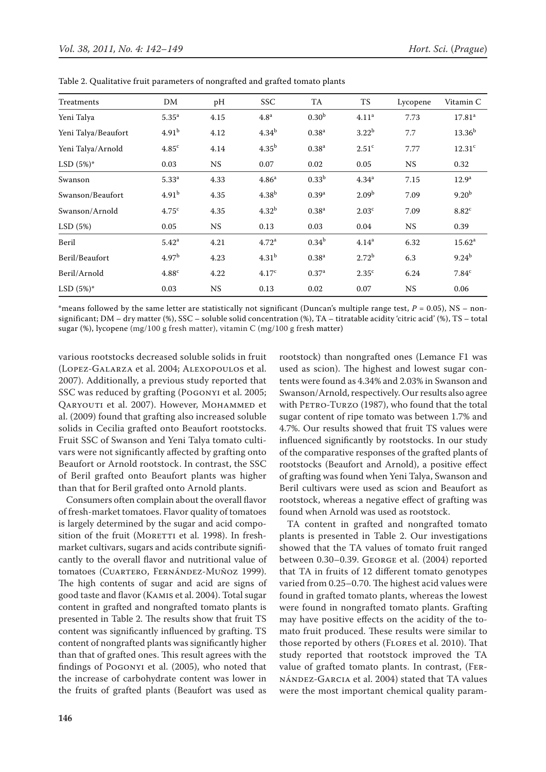| Treatments          | DM                | pH        | <b>SSC</b>        | TA                | TS                | Lycopene  | Vitamin C          |
|---------------------|-------------------|-----------|-------------------|-------------------|-------------------|-----------|--------------------|
| Yeni Talya          | 5.35 <sup>a</sup> | 4.15      | 4.8 <sup>a</sup>  | 0.30 <sup>b</sup> | 4.11 <sup>a</sup> | 7.73      | 17.81 <sup>a</sup> |
| Yeni Talya/Beaufort | 4.91 <sup>b</sup> | 4.12      | 4.34 <sup>b</sup> | 0.38 <sup>a</sup> | $3.22^{b}$        | 7.7       | $13.36^{b}$        |
| Yeni Talya/Arnold   | 4.85 <sup>c</sup> | 4.14      | 4.35 <sup>b</sup> | 0.38 <sup>a</sup> | 2.51 <sup>c</sup> | 7.77      | 12.31 <sup>c</sup> |
| $LSD(5%)^*$         | 0.03              | <b>NS</b> | 0.07              | 0.02              | 0.05              | <b>NS</b> | 0.32               |
| Swanson             | $5.33^{a}$        | 4.33      | 4.86 <sup>a</sup> | 0.33 <sup>b</sup> | 4.34 <sup>a</sup> | 7.15      | 12.9 <sup>a</sup>  |
| Swanson/Beaufort    | 4.91 <sup>b</sup> | 4.35      | 4.38 <sup>b</sup> | 0.39 <sup>a</sup> | 2.09 <sup>b</sup> | 7.09      | 9.20 <sup>b</sup>  |
| Swanson/Arnold      | 4.75 <sup>c</sup> | 4.35      | 4.32 <sup>b</sup> | 0.38 <sup>a</sup> | 2.03 <sup>c</sup> | 7.09      | 8.82 <sup>c</sup>  |
| LSD(5%)             | 0.05              | <b>NS</b> | 0.13              | 0.03              | 0.04              | <b>NS</b> | 0.39               |
| Beril               | 5.42 <sup>a</sup> | 4.21      | 4.72 <sup>a</sup> | $0.34^{b}$        | 4.14 <sup>a</sup> | 6.32      | 15.62 <sup>a</sup> |
| Beril/Beaufort      | 4.97 <sup>b</sup> | 4.23      | 4.31 <sup>b</sup> | 0.38 <sup>a</sup> | $2.72^{b}$        | 6.3       | $9.24^{b}$         |
| Beril/Arnold        | 4.88c             | 4.22      | 4.17 <sup>c</sup> | 0.37 <sup>a</sup> | 2.35 <sup>c</sup> | 6.24      | 7.84 <sup>c</sup>  |
| $LSD(5%)^*$         | 0.03              | <b>NS</b> | 0.13              | 0.02              | 0.07              | <b>NS</b> | 0.06               |

Table 2. Qualitative fruit parameters of nongrafted and grafted tomato plants

\*means followed by the same letter are statistically not significant (Duncan's multiple range test,  $P = 0.05$ ), NS – nonsignificant; DM – dry matter (%), SSC – soluble solid concentration (%), TA – titratable acidity 'citric acid' (%), TS – total sugar (%), lycopene (mg/100 g fresh matter), vitamin C (mg/100 g fresh matter)

various rootstocks decreased soluble solids in fruit (Lopez-Galarza et al. 2004; Alexopoulos et al. 2007). Additionally, a previous study reported that SSC was reduced by grafting (Pogonyi et al. 2005; QARYOUTI et al. 2007). However, MOHAMMED et al. (2009) found that grafting also increased soluble solids in Cecilia grafted onto Beaufort rootstocks. Fruit SSC of Swanson and Yeni Talya tomato cultivars were not significantly affected by grafting onto Beaufort or Arnold rootstock. In contrast, the SSC of Beril grafted onto Beaufort plants was higher than that for Beril grafted onto Arnold plants.

Consumers often complain about the overall flavor of fresh-market tomatoes. Flavor quality of tomatoes is largely determined by the sugar and acid composition of the fruit (MORETTI et al. 1998). In freshmarket cultivars, sugars and acids contribute significantly to the overall flavor and nutritional value of tomatoes (Cuartero, Fernández-Muñoz 1999). The high contents of sugar and acid are signs of good taste and flavor (Kamis et al. 2004). Total sugar content in grafted and nongrafted tomato plants is presented in Table 2. The results show that fruit TS content was significantly influenced by grafting. TS content of nongrafted plants was significantly higher than that of grafted ones. This result agrees with the findings of Pogonyi et al. (2005), who noted that the increase of carbohydrate content was lower in the fruits of grafted plants (Beaufort was used as

rootstock) than nongrafted ones (Lemance F1 was used as scion). The highest and lowest sugar contents were found as 4.34% and 2.03% in Swanson and Swanson/Arnold, respectively. Our results also agree with PETRO-TURZO (1987), who found that the total sugar content of ripe tomato was between 1.7% and 4.7%. Our results showed that fruit TS values were influenced significantly by rootstocks. In our study of the comparative responses of the grafted plants of rootstocks (Beaufort and Arnold), a positive effect of grafting was found when Yeni Talya, Swanson and Beril cultivars were used as scion and Beaufort as rootstock, whereas a negative effect of grafting was found when Arnold was used as rootstock.

TA content in grafted and nongrafted tomato plants is presented in Table 2. Our investigations showed that the TA values of tomato fruit ranged between 0.30–0.39. George et al. (2004) reported that TA in fruits of 12 different tomato genotypes varied from 0.25–0.70. The highest acid values were found in grafted tomato plants, whereas the lowest were found in nongrafted tomato plants. Grafting may have positive effects on the acidity of the tomato fruit produced. These results were similar to those reported by others (Flores et al. 2010). That study reported that rootstock improved the TA value of grafted tomato plants. In contrast, (Fernández-Garcia et al. 2004) stated that TA values were the most important chemical quality param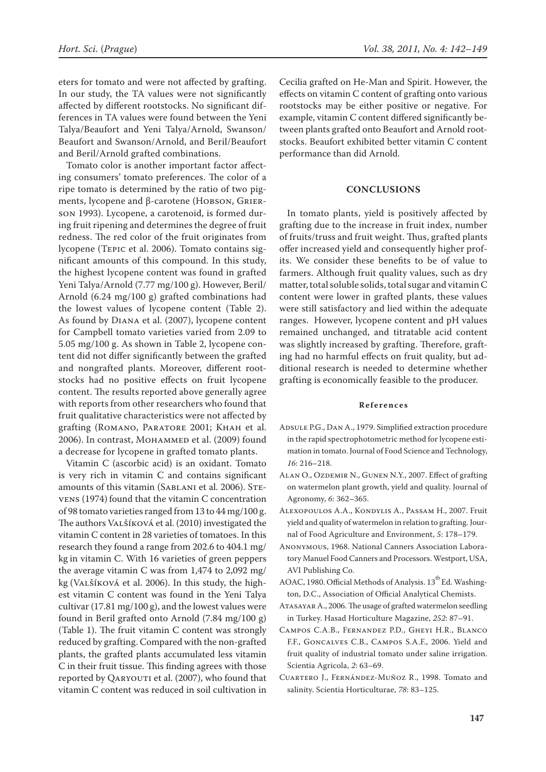eters for tomato and were not affected by grafting. In our study, the TA values were not significantly affected by different rootstocks. No significant differences in TA values were found between the Yeni Talya/Beaufort and Yeni Talya/Arnold, Swanson/ Beaufort and Swanson/Arnold, and Beril/Beaufort and Beril/Arnold grafted combinations.

Tomato color is another important factor affecting consumers' tomato preferences. The color of a ripe tomato is determined by the ratio of two pigments, lycopene and β-carotene (HOBSON, GRIERson 1993). Lycopene, a carotenoid, is formed during fruit ripening and determines the degree of fruit redness. The red color of the fruit originates from lycopene (Tepic et al. 2006). Tomato contains significant amounts of this compound. In this study, the highest lycopene content was found in grafted Yeni Talya/Arnold (7.77 mg/100 g). However, Beril/ Arnold (6.24 mg/100 g) grafted combinations had the lowest values of lycopene content (Table 2). As found by Diana et al. (2007), lycopene content for Campbell tomato varieties varied from 2.09 to 5.05 mg/100 g. As shown in Table 2, lycopene content did not differ significantly between the grafted and nongrafted plants. Moreover, different rootstocks had no positive effects on fruit lycopene content. The results reported above generally agree with reports from other researchers who found that fruit qualitative characteristics were not affected by grafting (Romano, Paratore 2001; Khah et al. 2006). In contrast, Mohammed et al. (2009) found a decrease for lycopene in grafted tomato plants.

Vitamin C (ascorbic acid) is an oxidant. Tomato is very rich in vitamin C and contains significant amounts of this vitamin (SABLANI et al. 2006). STEvens (1974) found that the vitamin C concentration of 98 tomato varieties ranged from 13 to 44 mg/100 g. The authors Valšíková et al. (2010) investigated the vitamin C content in 28 varieties of tomatoes. In this research they found a range from 202.6 to 404.1 mg/ kg in vitamin C. With 16 varieties of green peppers the average vitamin C was from 1,474 to 2,092 mg/ kg (Valšíková et al. 2006). In this study, the highest vitamin C content was found in the Yeni Talya cultivar (17.81 mg/100 g), and the lowest values were found in Beril grafted onto Arnold (7.84 mg/100 g) (Table 1). The fruit vitamin C content was strongly reduced by grafting. Compared with the non-grafted plants, the grafted plants accumulated less vitamin C in their fruit tissue. This finding agrees with those reported by OARYOUTI et al. (2007), who found that vitamin C content was reduced in soil cultivation in Cecilia grafted on He-Man and Spirit. However, the effects on vitamin C content of grafting onto various rootstocks may be either positive or negative. For example, vitamin C content differed significantly between plants grafted onto Beaufort and Arnold rootstocks. Beaufort exhibited better vitamin C content performance than did Arnold.

## **Conclusions**

In tomato plants, yield is positively affected by grafting due to the increase in fruit index, number of fruits/truss and fruit weight. Thus, grafted plants offer increased yield and consequently higher profits. We consider these benefits to be of value to farmers. Although fruit quality values, such as dry matter, total soluble solids, total sugar and vitamin C content were lower in grafted plants, these values were still satisfactory and lied within the adequate ranges. However, lycopene content and pH values remained unchanged, and titratable acid content was slightly increased by grafting. Therefore, grafting had no harmful effects on fruit quality, but additional research is needed to determine whether grafting is economically feasible to the producer.

## **References**

- ADSULE P.G., DAN A., 1979. Simplified extraction procedure in the rapid spectrophotometric method for lycopene estimation in tomato. Journal of Food Science and Technology, *16*: 216–218.
- Alan O., Ozdemir N., Gunen N.Y., 2007. Effect of grafting on watermelon plant growth, yield and quality. Journal of Agronomy, *6*: 362–365.
- Alexopoulos A.A., Kondylis A., Passam H., 2007. Fruit yield and quality of watermelon in relation to grafting. Journal of Food Agriculture and Environment, *5*: 178–179.
- Anonymous, 1968. National Canners Association Laboratory Manuel Food Canners and Processors. Westport, USA, AVI Publishing Co.
- AOAC, 1980. Official Methods of Analysis. 13<sup>th</sup> Ed. Washington, D.C., Association of Official Analytical Chemists.
- Atasayar A., 2006. The usage of grafted watermelon seedling in Turkey. Hasad Horticulture Magazine, *252*: 87–91.
- Campos C.A.B., Fernandez P.D., Gheyi H.R., Blanco F.F., Goncalves C.B., Campos S.A.F., 2006. Yield and fruit quality of industrial tomato under saline irrigation. Scientia Agricola, *2*: 63–69.
- Cuartero J., Fernández-Muñoz R., 1998. Tomato and salinity. Scientia Horticulturae, *78*: 83–125.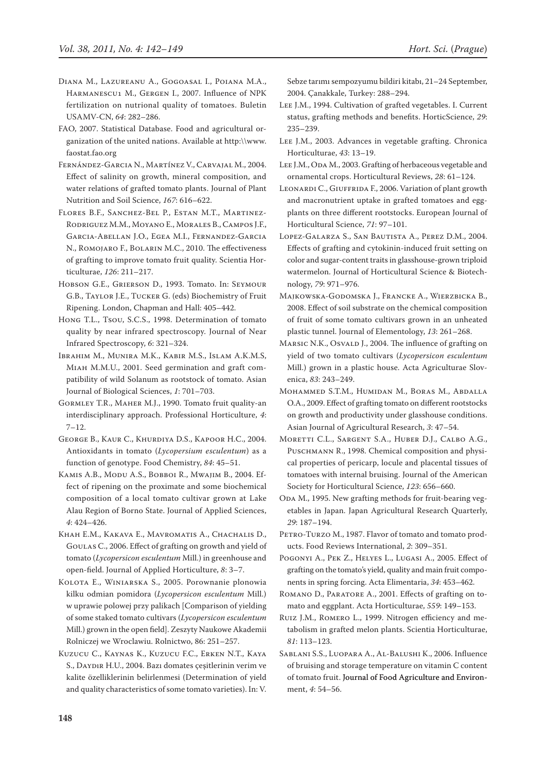- Diana M., Lazureanu A., Gogoasal I., Poiana M.A., Harmanescu1 M., Gergen I., 2007. Influence of NPK fertilization on nutrional quality of tomatoes. Buletin USAMV-CN, *64*: 282–286.
- FAO, 2007. Statistical Database. Food and agricultural organization of the united nations. Available at http:\\www. faostat.fao.org
- Fernández-Garcia N., Martínez V., Carvajal M., 2004. Effect of salinity on growth, mineral composition, and water relations of grafted tomato plants. Journal of Plant Nutrition and Soil Science, *167*: 616–622.
- Flores B.F., Sanchez-Bel P., Estan M.T., Martinez-Rodriguez M.M., Moyano E., Morales B., Campos J.F., Garcia-Abellan J.O., Egea M.I., Fernandez-Garcia N., Romojaro F., Bolarin M.C., 2010. The effectiveness of grafting to improve tomato fruit quality. Scientia Horticulturae, *126*: 211–217.
- Hobson G.E., Grierson D., 1993. Tomato. In: Seymour G.B., Taylor J.E., Tucker G. (eds) Biochemistry of Fruit Ripening. London, Chapman and Hall: 405–442.
- Hong T.L., Tsou, S.C.S., 1998. Determination of tomato quality by near infrared spectroscopy. Journal of Near Infrared Spectroscopy, *6*: 321–324.
- Ibrahim M., Munira M.K., Kabir M.S., Islam A.K.M.S, Miah M.M.U., 2001. Seed germination and graft compatibility of wild Solanum as rootstock of tomato. Asian Journal of Biological Sciences, *1*: 701–703.
- Gormley T.R., Maher M.J., 1990. Tomato fruit quality-an interdisciplinary approach. Professional Horticulture, *4*: 7–12.
- George B., Kaur C., Khurdiya D.S., Kapoor H.C., 2004. Antioxidants in tomato (*Lycopersium esculentum*) as a function of genotype. Food Chemistry, *84*: 45–51.
- Kamis A.B., Modu A.S., Bobboi R., Mwajim B., 2004. Effect of ripening on the proximate and some biochemical composition of a local tomato cultivar grown at Lake Alau Region of Borno State. Journal of Applied Sciences, *4*: 424–426.
- Khah E.M., Kakava E., Mavromatis A., Chachalis D., Goulas C., 2006. Effect of grafting on growth and yield of tomato (*Lycopersicon esculentum* Mill.) in greenhouse and open-field. Journal of Applied Horticulture, *8*: 3–7.
- Kolota E., Winiarska S., 2005. Porownanie plonowia kilku odmian pomidora (*Lycopersicon esculentum* Mill.) w uprawie polowej przy palikach [Comparison of yielding of some staked tomato cultivars (*Lycopersicon esculentum* Mill.) grown in the open field]. Zeszyty Naukowe Akademii Rolniczej we Wroclawiu. Rolnictwo, 86: 251–257.
- Kuzucu C., Kaynas K., Kuzucu F.C., Erken N.T., Kaya S., DAYDIR H.U., 2004. Bazı domates çeşitlerinin verim ve kalite özelliklerinin belirlenmesi (Determination of yield and quality characteristics of some tomato varieties). In: V.

Sebze tarımı sempozyumu bildiri kitabı, 21–24 September, 2004. Çanakkale, Turkey: 288–294.

- Lee J.M., 1994. Cultivation of grafted vegetables. I. Current status, grafting methods and benefits. HorticScience, *29*: 235–239.
- Lee J.M., 2003. Advances in vegetable grafting. Chronica Horticulturae, *43*: 13–19.
- LEE J.M., ODA M., 2003. Grafting of herbaceous vegetable and ornamental crops. Horticultural Reviews, *28*: 61–124.
- LEONARDI C., GIUFFRIDA F., 2006. Variation of plant growth and macronutrient uptake in grafted tomatoes and eggplants on three different rootstocks. European Journal of Horticultural Science, *71*: 97–101.
- Lopez-Galarza S., San Bautista A., Perez D.M., 2004. Effects of grafting and cytokinin-induced fruit setting on color and sugar-content traits in glasshouse-grown triploid watermelon. Journal of Horticultural Science & Biotechnology, *79*: 971–976.
- Majkowska-Godomska J., Francke A., Wierzbicka B., 2008. Effect of soil substrate on the chemical composition of fruit of some tomato cultivars grown in an unheated plastic tunnel. Journal of Elementology, *13*: 261–268.
- MARSIC N.K., OSVALD J., 2004. The influence of grafting on yield of two tomato cultivars (*Lycopersicon esculentum*  Mill.) grown in a plastic house. Acta Agriculturae Slovenica, *83*: 243–249.
- Mohammed S.T.M., Humidan M., Boras M., Abdalla O.A., 2009. Effect of grafting tomato on different rootstocks on growth and productivity under glasshouse conditions. Asian Journal of Agricultural Research, *3*: 47–54.
- Moretti C.L., Sargent S.A., Huber D.J., Calbo A.G., PUSCHMANN R., 1998. Chemical composition and physical properties of pericarp, locule and placental tissues of tomatoes with internal bruising. Journal of the American Society for Horticultural Science, *123*: 656–660.
- ODA M., 1995. New grafting methods for fruit-bearing vegetables in Japan. Japan Agricultural Research Quarterly, *29*: 187–194.
- PETRO-TURZO M., 1987. Flavor of tomato and tomato products. Food Reviews International, *2*: 309–351.
- Pogonyi A., Pek Z., Helyes L., Lugasi A., 2005. Effect of grafting on the tomato's yield, quality and main fruit components in spring forcing. Acta Elimentaria, *34*: 453–462.
- Romano D., Paratore A., 2001. Effects of grafting on tomato and eggplant. Acta Horticulturae, *559*: 149–153.
- Ruiz J.M., Romero L., 1999. Nitrogen efficiency and metabolism in grafted melon plants. Scientia Horticulturae, *81*: 113–123.
- Sablani S.S., Luopara A., Al-Balushi K., 2006. Influence of bruising and storage temperature on vitamin C content of tomato fruit. Journal of Food Agriculture and Environment, *4*: 54–56.